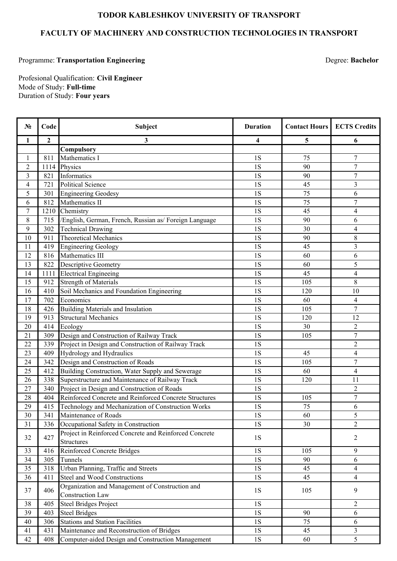## **TODOR KABLESHKOV UNIVERSITY OF TRANSPORT**

## **FACULTY OF MACHINERY AND CONSTRUCTION TECHNOLOGIES IN TRANSPORT**

## Programme: **Transportation Engineering**

Degree: **Bachelor**

Mode of Study: **Full-time** Duration of Study: **Four years** Profesional Qualification: **Civil Engineer**

| $N_2$                    | Code           | Subject                                                | <b>Duration</b> | <b>Contact Hours</b> | <b>ECTS Credits</b>      |
|--------------------------|----------------|--------------------------------------------------------|-----------------|----------------------|--------------------------|
| 1                        | $\overline{2}$ | 3                                                      | 4               | 5                    | 6                        |
|                          |                | Compulsory                                             |                 |                      |                          |
| $\mathbf{1}$             | 811            | Mathematics I                                          | 1S              | 75                   | $\overline{7}$           |
| $\boldsymbol{2}$         | 1114           | Physics                                                | 1S              | 90                   | $\overline{7}$           |
| $\mathfrak{Z}$           | 821            | Informatics                                            | 1S              | 90                   | $\boldsymbol{7}$         |
| $\overline{\mathcal{L}}$ | 721            | <b>Political Science</b>                               | 1S              | 45                   | 3                        |
| 5                        | 301            | <b>Engineering Geodesy</b>                             | 1S              | 75                   | 6                        |
| 6                        | 812            | Mathematics II                                         | 1S              | $\overline{75}$      | $\overline{7}$           |
| $\overline{7}$           | 1210           | Chemistry                                              | 1S              | 45                   | $\overline{\mathcal{A}}$ |
| $8\,$                    | 715            | /English, German, French, Russian as/ Foreign Language | 1S              | 90                   | 6                        |
| 9                        | 302            | <b>Technical Drawing</b>                               | 1S              | 30                   | $\overline{4}$           |
| 10                       | 911            | <b>Theoretical Mechanics</b>                           | 1S              | 90                   | 8                        |
| 11                       | 419            | <b>Engineering Geology</b>                             | 1S              | 45                   | $\overline{\mathbf{3}}$  |
| 12                       | 816            | Mathematics III                                        | 1S              | 60                   | 6                        |
| 13                       | 822            | <b>Descriptive Geometry</b>                            | 1S              | 60                   | 5                        |
| 14                       | 1111           | <b>Electrical Engineeing</b>                           | <b>1S</b>       | 45                   | $\overline{4}$           |
| 15                       | 912            | Strength of Materials                                  | 1S              | 105                  | 8                        |
| 16                       | 410            | Soil Mechanics and Foundation Engineering              | 1S              | 120                  | 10                       |
| 17                       | 702            | Economics                                              | 1S              | 60                   | $\overline{\mathcal{A}}$ |
| 18                       | 426            | Building Materials and Insulation                      | 1S              | 105                  | $\tau$                   |
| 19                       | 913            | <b>Structural Mechanics</b>                            | 1S              | 120                  | 12                       |
| 20                       | 414            | Ecology                                                | 1S              | 30                   | $\overline{2}$           |
| 21                       | 309            | Design and Construction of Railway Track               | 1S              | 105                  | $\overline{7}$           |
| 22                       | 339            | Project in Design and Construction of Railway Track    | 1S              |                      | $\overline{2}$           |
| 23                       | 409            | Hydrology and Hydraulics                               | 1S              | 45                   | $\overline{4}$           |
| 24                       | 342            | Design and Construction of Roads                       | 1S              | 105                  | $\overline{7}$           |
| 25                       | 412            | Building Construction, Water Supply and Sewerage       | 1S              | 60                   | $\overline{\mathcal{A}}$ |
| 26                       | 338            | Superstructure and Maintenance of Railway Track        | 1S              | 120                  | 11                       |
| 27                       | 340            | Project in Design and Construction of Roads            | <b>1S</b>       |                      | $\overline{2}$           |
| 28                       | 404            | Reinforced Concrete and Reinforced Concrete Structures | 1S              | 105                  | $\overline{7}$           |
| 29                       | 415            | Technology and Mechanization of Construction Works     | 1S              | 75                   | 6                        |
| 30                       | 341            | Maintenance of Roads                                   | 1S              | 60                   | 5                        |
| 31                       | 336            | Occupational Safety in Construction                    | <b>1S</b>       | 30                   | $\overline{2}$           |
|                          |                | Project in Reinforced Concrete and Reinforced Concrete |                 |                      |                          |
| 32                       | 427            | <b>Structures</b>                                      | 1S              |                      | $\overline{2}$           |
| 33                       | 416            | <b>Reinforced Concrete Bridges</b>                     | 1S              | 105                  | 9                        |
| 34                       | 305            | Tunnels                                                | <b>1S</b>       | 90                   | 6                        |
| 35                       | 318            | Urban Planning, Traffic and Streets                    | 1S              | 45                   | $\overline{4}$           |
| 36                       | 411            | Steel and Wood Constructions                           | 1S              | 45                   | $\overline{4}$           |
|                          | 406            | Organization and Management of Construction and        |                 |                      |                          |
| 37                       |                | <b>Construction Law</b>                                | <b>1S</b>       | 105                  | 9                        |
| 38                       | 405            | <b>Steel Bridges Project</b>                           | 1S              |                      | $\overline{2}$           |
| 39                       | 403            | <b>Steel Bridges</b>                                   | <b>1S</b>       | 90                   | 6                        |
| 40                       | 306            | <b>Stations and Station Facilities</b>                 | 1S              | 75                   | 6                        |
| 41                       | 431            | Maintenance and Reconstruction of Bridges              | 1S              | 45                   | 3                        |
| 42                       | 408            | Computer-aided Design and Construction Management      | <b>1S</b>       | 60                   | 5                        |